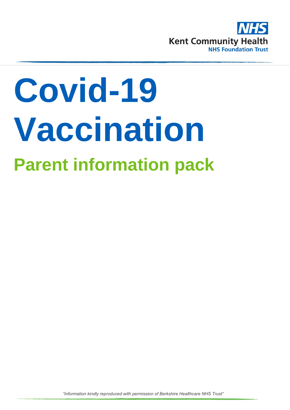

# **Covid-19 Vaccination Parent information pack**

*"Information kindly reproduced with permission of Berkshire Healthcare NHS Trust"*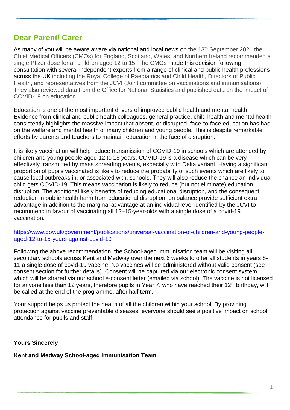## **Dear Parent/ Carer**

As many of you will be aware aware via national and local news on the 13<sup>th</sup> September 2021 the Chief Medical Officers (CMOs) for England, Scotland, Wales, and Northern Ireland recommended a single Pfizer dose for all children aged 12 to 15. The CMOs made this decision following consultation with several independent experts from a range of clinical and public health professions across the UK including the Royal College of Paediatrics and Child Health, Directors of Public Health, and representatives from the JCVI (Joint committee on vaccinations and immunisations). They also reviewed data from the Office for National Statistics and published data on the impact of COVID-19 on education.

Education is one of the most important drivers of improved public health and mental health. Evidence from clinical and public health colleagues, general practice, child health and mental health consistently highlights the massive impact that absent, or disrupted, face-to-face education has had on the welfare and mental health of many children and young people. This is despite remarkable efforts by parents and teachers to maintain education in the face of disruption.

It is likely vaccination will help reduce transmission of COVID-19 in schools which are attended by children and young people aged 12 to 15 years. COVID-19 is a disease which can be very effectively transmitted by mass spreading events, especially with Delta variant. Having a significant proportion of pupils vaccinated is likely to reduce the probability of such events which are likely to cause local outbreaks in, or associated with, schools. They will also reduce the chance an individual child gets COVID-19. This means vaccination is likely to reduce (but not eliminate) education disruption. The additional likely benefits of reducing educational disruption, and the consequent reduction in public health harm from educational disruption, on balance provide sufficient extra advantage in addition to the marginal advantage at an individual level identified by the JCVI to recommend in favour of vaccinating all 12–15-year-olds with a single dose of a covid-19 vaccination.

[https://www.gov.uk/government/publications/universal-vaccination-of-children-and-young-people](https://www.gov.uk/government/publications/universal-vaccination-of-children-and-young-people-aged-12-to-15-years-against-covid-19)[aged-12-to-15-years-against-covid-19](https://www.gov.uk/government/publications/universal-vaccination-of-children-and-young-people-aged-12-to-15-years-against-covid-19)

Following the above recommendation, the School-aged immunisation team will be visiting all secondary schools across Kent and Medway over the next 6 weeks to offer all students in years 8- 11 a single dose of covid-19 vaccine. No vaccines will be administered without valid consent (see consent section for further details). Consent will be captured via our electronic consent system, which will be shared via our school e-consent letter (emailed via school). The vaccine is not licensed for anyone less than 12 years, therefore pupils in Year 7, who have reached their 12<sup>th</sup> birthday, will be called at the end of the programme, after half term.

Your support helps us protect the health of all the children within your school. By providing protection against vaccine preventable diseases, everyone should see a positive impact on school attendance for pupils and staff.

#### **Yours Sincerely**

**Kent and Medway School-aged Immunisation Team**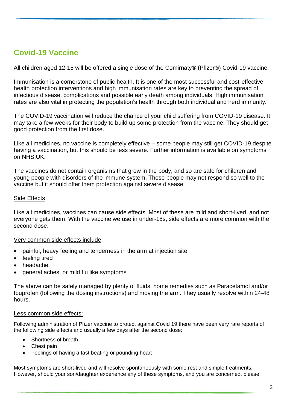# **Covid-19 Vaccine**

All children aged 12-15 will be offered a single dose of the Comirnaty® (Pfizer®) Covid-19 vaccine.

Immunisation is a cornerstone of public health. It is one of the most successful and cost-effective health protection interventions and high immunisation rates are key to preventing the spread of infectious disease, complications and possible early death among individuals. High immunisation rates are also vital in protecting the population's health through both individual and herd immunity.

The COVID-19 vaccination will reduce the chance of your child suffering from COVID-19 disease. It may take a few weeks for their body to build up some protection from the vaccine. They should get good protection from the first dose.

Like all medicines, no vaccine is completely effective – some people may still get COVID-19 despite having a vaccination, but this should be less severe. Further information is available on symptoms on NHS.UK.

The vaccines do not contain organisms that grow in the body, and so are safe for children and young people with disorders of the immune system. These people may not respond so well to the vaccine but it should offer them protection against severe disease.

#### Side Effects

Like all medicines, vaccines can cause side effects. Most of these are mild and short-lived, and not everyone gets them. With the vaccine we use in under-18s, side effects are more common with the second dose.

#### Very common side effects include:

- painful, heavy feeling and tenderness in the arm at injection site
- feeling tired
- headache
- general aches, or mild flu like symptoms

The above can be safely managed by plenty of fluids, home remedies such as Paracetamol and/or Ibuprofen (following the dosing instructions) and moving the arm. They usually resolve within 24-48 hours.

#### Less common side effects:

Following administration of Pfizer vaccine to protect against Covid 19 there have been very rare reports of the following side effects and usually a few days after the second dose:

- Shortness of breath
- Chest pain
- Feelings of having a fast beating or pounding heart

Most symptoms are short-lived and will resolve spontaneously with some rest and simple treatments. However, should your son/daughter experience any of these symptoms, and you are concerned, please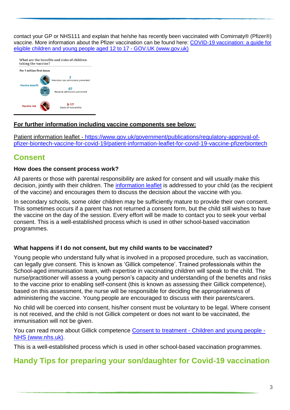contact your GP or NHS111 and explain that he/she has recently been vaccinated with Comirnaty® (Pfizer®) vaccine. More information about the Pfizer vaccination can be found here: [COVID-19 vaccination: a guide for](https://www.gov.uk/government/publications/covid-19-vaccination-resources-for-children-and-young-people/covid-19-vaccination-a-guide-for-eligible-children-and-young-people-aged-12-to-17#consent)  [eligible children and young people aged 12 to 17 -](https://www.gov.uk/government/publications/covid-19-vaccination-resources-for-children-and-young-people/covid-19-vaccination-a-guide-for-eligible-children-and-young-people-aged-12-to-17#consent) GOV.UK (www.gov.uk)



## **For further information including vaccine components see below:**

Patient information leaflet - [https://www.gov.uk/government/publications/regulatory-approval-of](https://www.gov.uk/government/publications/regulatory-approval-of-pfizer-biontech-vaccine-for-covid-19/patient-information-leaflet-for-covid-19-vaccine-pfizerbiontech)[pfizer-biontech-vaccine-for-covid-19/patient-information-leaflet-for-covid-19-vaccine-pfizerbiontech](https://www.gov.uk/government/publications/regulatory-approval-of-pfizer-biontech-vaccine-for-covid-19/patient-information-leaflet-for-covid-19-vaccine-pfizerbiontech)

## **Consent**

## **How does the consent process work?**

All parents or those with parental responsibility are asked for consent and will usually make this decision, jointly with their children. The [information leaflet](https://berkshirehealthcare.sharepoint.com/sites/ImmunisationService/Shared%20Documents/General/SD%20Mig/Covid-19/COVID-19%20vaccination%20–%20A%20guide%20for%20children%20and%20young%20people%20(publishing.service.gov.uk)) is addressed to your child (as the recipient of the vaccine) and encourages them to discuss the decision about the vaccine with you.

In secondary schools, some older children may be sufficiently mature to provide their own consent. This sometimes occurs if a parent has not returned a consent form, but the child still wishes to have the vaccine on the day of the session. Every effort will be made to contact you to seek your verbal consent. This is a well-established process which is used in other school-based vaccination programmes.

## **What happens if I do not consent, but my child wants to be vaccinated?**

Young people who understand fully what is involved in a proposed procedure, such as vaccination, can legally give consent. This is known as 'Gillick competence'. Trained professionals within the School-aged immunisation team, with expertise in vaccinating children will speak to the child. The nurse/practitioner will assess a young person's capacity and understanding of the benefits and risks to the vaccine prior to enabling self-consent (this is known as assessing their Gillick competence), based on this assessment, the nurse will be responsible for deciding the appropriateness of administering the vaccine. Young people are encouraged to discuss with their parents/carers.

No child will be coerced into consent, his/her consent must be voluntary to be legal. Where consent is not received, and the child is not Gillick competent or does not want to be vaccinated, the immunisation will not be given.

You can read more about Gillick competence Consent to treatment - [Children and young people -](https://www.nhs.uk/conditions/consent-to-treatment/children/) [NHS \(www.nhs.uk\).](https://www.nhs.uk/conditions/consent-to-treatment/children/)

This is a well-established process which is used in other school-based vaccination programmes.

## **Handy Tips for preparing your son/daughter for Covid-19 vaccination**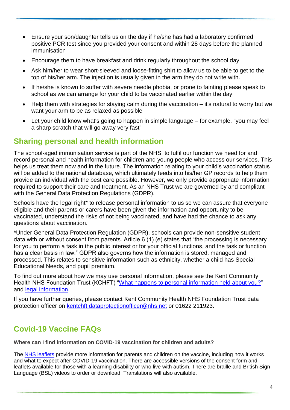- Ensure your son/daughter tells us on the day if he/she has had a laboratory confirmed positive PCR test since you provided your consent and within 28 days before the planned immunisation
- Encourage them to have breakfast and drink regularly throughout the school day.
- Ask him/her to wear short-sleeved and loose-fitting shirt to allow us to be able to get to the top of his/her arm. The injection is usually given in the arm they do not write with.
- If he/she is known to suffer with severe needle phobia, or prone to fainting please speak to school as we can arrange for your child to be vaccinated earlier within the day
- Help them with strategies for staying calm during the vaccination it's natural to worry but we want your arm to be as relaxed as possible
- Let your child know what's going to happen in simple language for example, "you may feel a sharp scratch that will go away very fast"

## **Sharing personal and health information**

The school-aged immunisation service is part of the NHS, to fulfil our function we need for and record personal and health information for children and young people who access our services. This helps us treat them now and in the future. The information relating to your child's vaccination status will be added to the national database, which ultimately feeds into his/her GP records to help them provide an individual with the best care possible. However, we only provide appropriate information required to support their care and treatment. As an NHS Trust we are governed by and compliant with the General Data Protection Regulations (GDPR).

Schools have the legal right\* to release personal information to us so we can assure that everyone eligible and their parents or carers have been given the information and opportunity to be vaccinated, understand the risks of not being vaccinated, and have had the chance to ask any questions about vaccination.

\*Under General Data Protection Regulation (GDPR), schools can provide non-sensitive student data with or without consent from parents. Article 6 (1) (e) states that "the processing is necessary for you to perform a task in the public interest or for your official functions, and the task or function has a clear basis in law." GDPR also governs how the information is stored, managed and processed. This relates to sensitive information such as ethnicity, whether a child has Special Educational Needs, and pupil premium.

To find out more about how we may use personal information, please see the Kent Community Health NHS Foundation Trust (KCHFT) ["What happens to personal information held about you?"](https://www.kentcht.nhs.uk/leaflet/what-happens-to-personal-information-held-about-you/) and [legal information.](https://www.kentcht.nhs.uk/legal/)

If you have further queries, please contact Kent Community Health NHS Foundation Trust data protection officer on [kentchft.dataprotectionofficer@nhs.net](mailto:kentchft.dataprotectionofficer@nhs.net) or 01622 211923.

# **Covid-19 Vaccine FAQs**

**Where can I find information on COVID-19 vaccination for children and adults?**

The NHS [leaflets](https://www.gov.uk/government/publications/covid-19-vaccination-resources-for-children-and-young-people) provide more information for parents and children on the vaccine, including how it works and what to expect after COVID-19 vaccination. There are accessible versions of the consent form and leaflets available for those with a learning disability or who live with autism. There are braille and British Sign Language (BSL) videos to order or download. Translations will also available.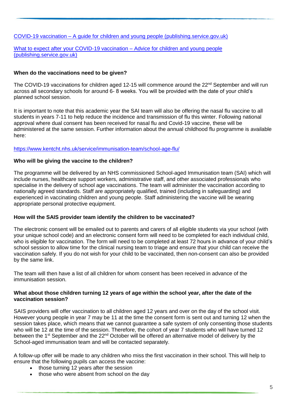#### COVID-19 vaccination – [A guide for children and young people \(publishing.service.gov.uk\)](https://assets.publishing.service.gov.uk/government/uploads/system/uploads/attachment_data/file/1017171/PHE_12073_COVID-19_guide_for_all_CYP.pdf)

[What to expect after your COVID-19 vaccination –](https://assets.publishing.service.gov.uk/government/uploads/system/uploads/attachment_data/file/1008090/PHE_12073_COVID-19_What_to_expect_CYP_leaflet.pdf) Advice for children and young people [\(publishing.service.gov.uk\)](https://assets.publishing.service.gov.uk/government/uploads/system/uploads/attachment_data/file/1008090/PHE_12073_COVID-19_What_to_expect_CYP_leaflet.pdf) 

#### **When do the vaccinations need to be given?**

The COVID-19 vaccinations for children aged 12-15 will commence around the  $22<sup>nd</sup>$  September and will run across all secondary schools for around 6- 8 weeks. You will be provided with the date of your child's planned school session.

It is important to note that this academic year the SAI team will also be offering the nasal flu vaccine to all students in years 7-11 to help reduce the incidence and transmission of flu this winter. Following national approval where dual consent has been received for nasal flu and Covid-19 vaccine, these will be administered at the same session. Further information about the annual childhood flu programme is available here:

#### <https://www.kentcht.nhs.uk/service/immunisation-team/school-age-flu/>

#### **Who will be giving the vaccine to the children?**

The programme will be delivered by an NHS commissioned School-aged Immunisation team (SAI) which will include nurses, healthcare support workers, administrative staff, and other associated professionals who specialise in the delivery of school age vaccinations. The team will administer the vaccination according to nationally agreed standards. Staff are appropriately qualified, trained (including in safeguarding) and experienced in vaccinating children and young people. Staff administering the vaccine will be wearing appropriate personal protective equipment.

#### **How will the SAIS provider team identify the children to be vaccinated?**

The electronic consent will be emailed out to parents and carers of all eligible students via your school (with your unique school code) and an electronic consent form will need to be completed for each individual child, who is eligible for vaccination. The form will need to be completed at least 72 hours in advance of your child's school session to allow time for the clinical nursing team to triage and ensure that your child can receive the vaccination safely. If you do not wish for your child to be vaccinated, then non-consent can also be provided by the same link.

The team will then have a list of all children for whom consent has been received in advance of the immunisation session.

#### **What about those children turning 12 years of age within the school year, after the date of the vaccination session?**

SAIS providers will offer vaccination to all children aged 12 years and over on the day of the school visit. However young people in year 7 may be 11 at the time the consent form is sent out and turning 12 when the session takes place, which means that we cannot guarantee a safe system of only consenting those students who will be 12 at the time of the session. Therefore, the cohort of year 7 students who will have turned 12 between the 1<sup>st</sup> September and the 22<sup>nd</sup> October will be offered an alternative model of delivery by the School-aged immunisation team and will be contacted separately.

A follow-up offer will be made to any children who miss the first vaccination in their school. This will help to ensure that the following pupils can access the vaccine:

- those turning 12 years after the session
- those who were absent from school on the day